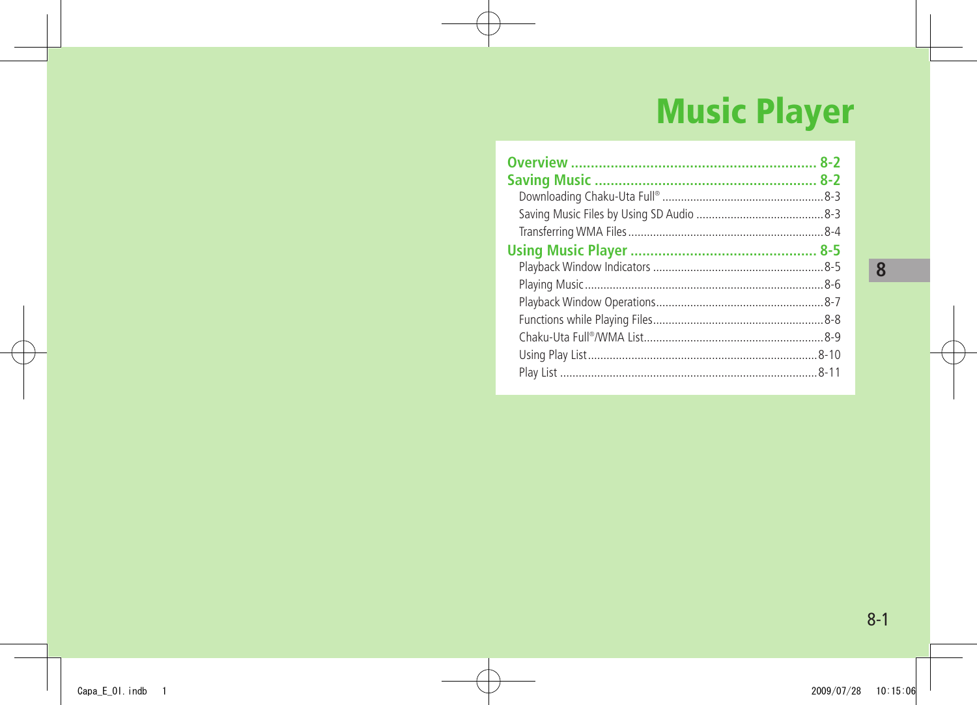# **Music Player**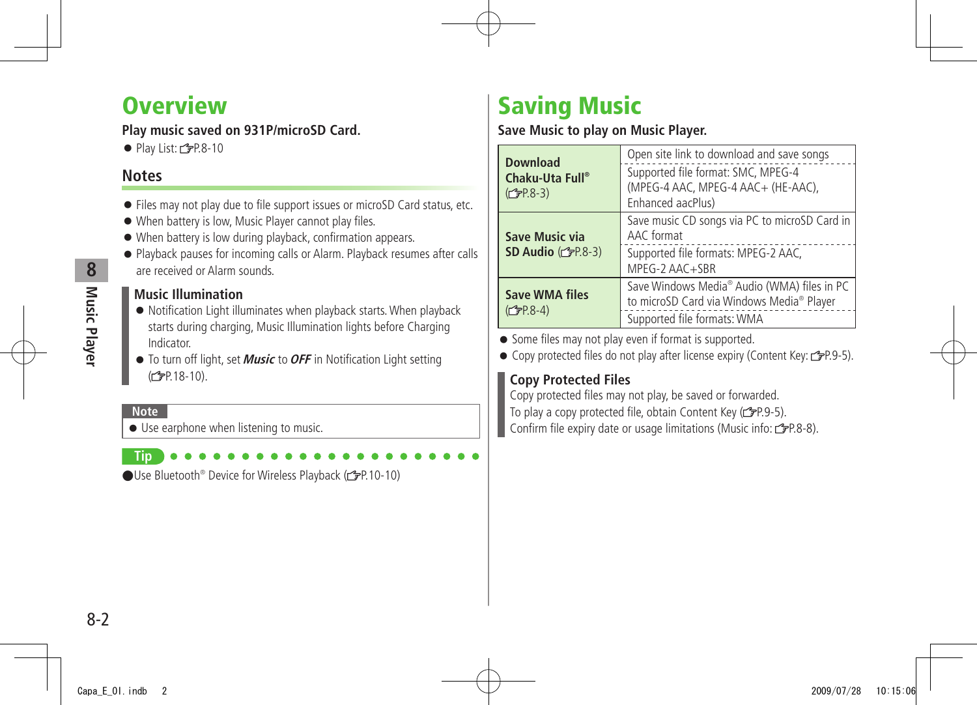# <span id="page-1-0"></span>**Overview**

## **Play music saved on 931P/microSD Card.**

 $\bullet$  Play List:  $\angle$ PP.8-10

## **Notes**

- Files may not play due to file support issues or microSD Card status, etc.
- When battery is low, Music Player cannot play files.
- When battery is low during playback, confirmation appears.
- Playback pauses for incoming calls or Alarm. Playback resumes after calls are received or Alarm sounds.

### **Music Illumination**

- Notification Light illuminates when playback starts. When playback starts during charging, Music Illumination lights before Charging Indicator.
- To turn off light, set **Music** to **OFF** in Notification Light setting (c<sup>2</sup><sub>P</sub>P. 18-10).

#### **Note**

● Use earphone when listening to music.

**Tip** ●Use Bluetooth® Device for Wireless Playback (c今P.10-10)

# **Saving Music**

## **Save Music to play on Music Player.**

| <b>Download</b><br>Chaku-Uta Full®<br>$(2P.8-3)$       | Open site link to download and save songs<br>Supported file format: SMC, MPEG-4<br>(MPEG-4 AAC, MPEG-4 AAC+ (HE-AAC),<br>Enhanced aacPlus) |
|--------------------------------------------------------|--------------------------------------------------------------------------------------------------------------------------------------------|
| <b>Save Music via</b><br>SD Audio $(\mathcal{F}P.8-3)$ | Save music CD songs via PC to microSD Card in<br>AAC format<br>Supported file formats: MPEG-2 AAC,<br>MPEG-2 AAC+SBR                       |
| <b>Save WMA files</b><br>$(2P.8-4)$                    | Save Windows Media® Audio (WMA) files in PC<br>to microSD Card via Windows Media® Player<br>Supported file formats: WMA                    |

● Some files may not play even if format is supported.

● Copy protected files do not play after license expiry (Content Key:  $2P.9-5$ ).

## **Copy Protected Files**

Copy protected files may not play, be saved or forwarded. To play a copy protected file, obtain Content Key ( $\mathcal{F}P.9-5$ ). Confirm file expiry date or usage limitations (Music info: r  $\mathcal{F}P.8-8$ ).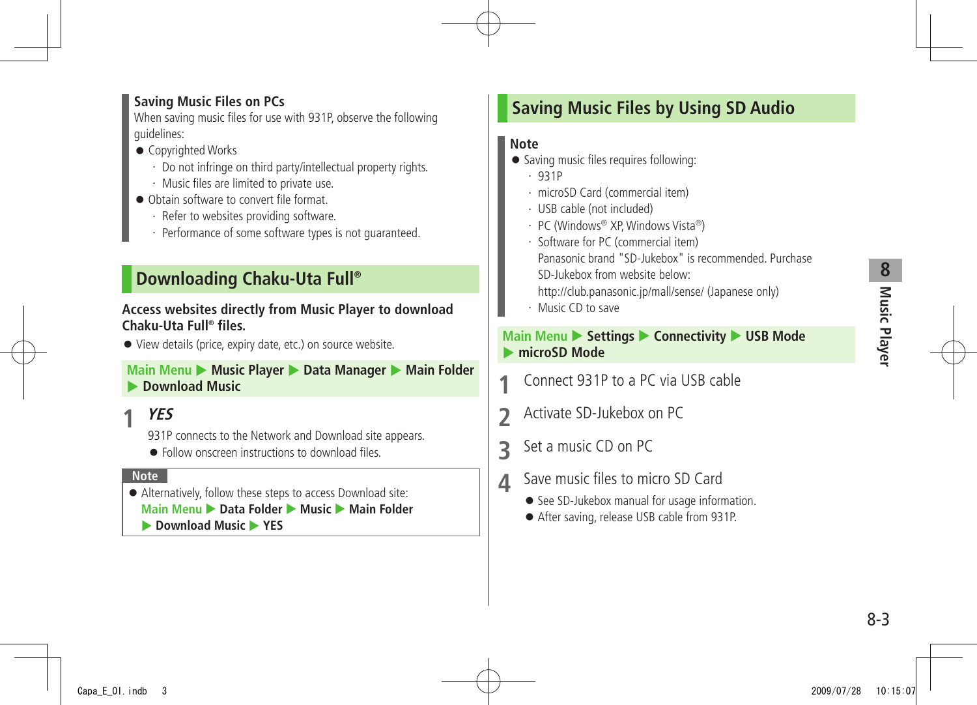# **8** Music Player **Music Player**

#### <span id="page-2-0"></span>**Saving Music Files on PCs**

When saving music files for use with 931P, observe the following guidelines:

- Copyrighted Works
	- ・ Do not infringe on third party/intellectual property rights.
	- ・ Music files are limited to private use.
- Obtain software to convert file format.
	- ・ Refer to websites providing software.
	- ・ Performance of some software types is not guaranteed.

## **Downloading Chaku-Uta Full®**

#### **Access websites directly from Music Player to download Chaku-Uta Full® files.**

● View details (price, expiry date, etc.) on source website.

#### **Main Menu ▶ Music Player ▶ Data Manager ▶ Main Folder Download Music**

## **1 YES**

931P connects to the Network and Download site appears.

● Follow onscreen instructions to download files.

#### **Note**

● Alternatively, follow these steps to access Download site: **Main Menu ▶ Data Folder ▶ Music ▶ Main Folder Download Music** YES

## **Saving Music Files by Using SD Audio**

## **Note**

- Saving music files requires following:
	- ・ 931P
	- ・ microSD Card (commercial item)
	- ・ USB cable (not included)
	- ・ PC (Windows® XP, Windows Vista®)
	- ・ Software for PC (commercial item)
		- Panasonic brand "SD-Jukebox" is recommended. Purchase SD-Jukebox from website below:
		- http://club.panasonic.jp/mall/sense/ (Japanese only)
	- ・ Music CD to save

### **Main Menu > Settings > Connectivity > USB Mode**  $\triangleright$  **microSD Mode**

- **1** Connect 931P to a PC via USB cable
- **2** Activate SD-Jukebox on PC
- **3** Set a music CD on PC
- **4** Save music files to micro SD Card
	- See SD-Jukebox manual for usage information.
	- After saving, release USB cable from 931P.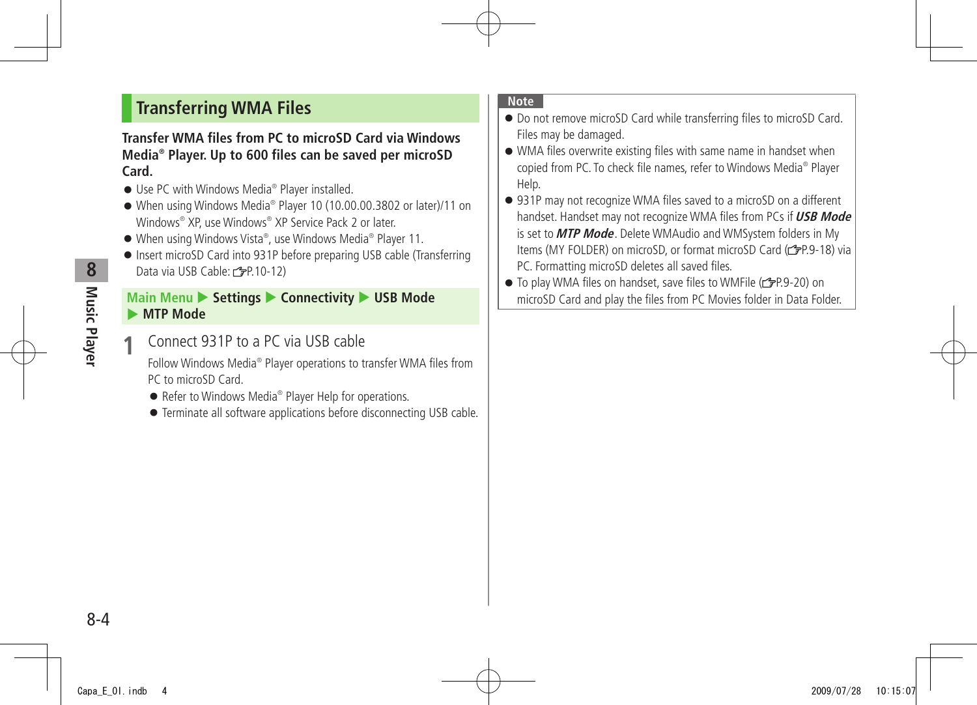## <span id="page-3-0"></span>**Transferring WMA Files**

#### **Transfer WMA files from PC to microSD Card via Windows Media® Player. Up to 600 files can be saved per microSD Card.**

- Use PC with Windows Media<sup>®</sup> Player installed.
- When using Windows Media® Player 10 (10.00.00.3802 or later)/11 on Windows® XP, use Windows® XP Service Pack 2 or later.
- When using Windows Vista®, use Windows Media® Player 11.
- Insert microSD Card into 931P before preparing USB cable (Transferring Data via USB Cable: (PP.10-12)

### **Main Menu ▶ Settings ▶ Connectivity ▶ USB Mode MTP Mode**

**1** Connect 931P to a PC via USB cable

Follow Windows Media<sup>®</sup> Player operations to transfer WMA files from PC to microSD Card.

- Refer to Windows Media<sup>®</sup> Player Help for operations.
- Terminate all software applications before disconnecting USB cable.

#### **Note**

- Do not remove microSD Card while transferring files to microSD Card. Files may be damaged.
- WMA files overwrite existing files with same name in handset when copied from PC. To check file names, refer to Windows Media® Player Help.
- 931P may not recognize WMA files saved to a microSD on a different handset. Handset may not recognize WMA files from PCs if **USB Mode** is set to **MTP Mode**. Delete WMAudio and WMSystem folders in My Items (MY FOLDER) on microSD, or format microSD Card ( $\mathscr{L}$ P.9-18) via PC. Formatting microSD deletes all saved files.
- To play WMA files on handset, save files to WMFile (repr.9-20) on microSD Card and play the files from PC Movies folder in Data Folder.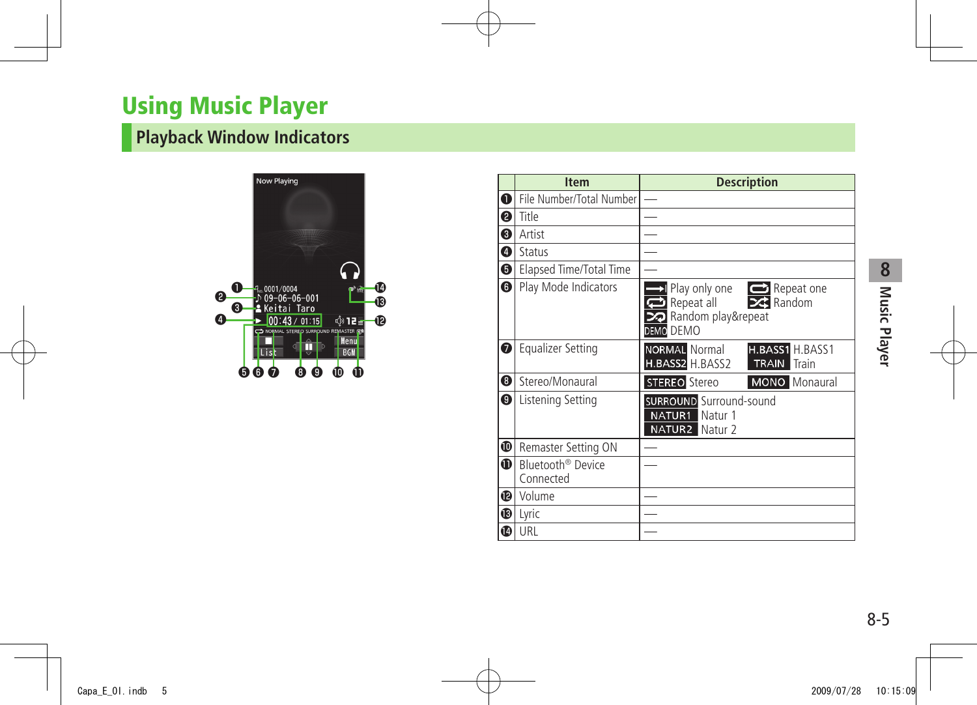# <span id="page-4-0"></span>**Using Music Player**

# **Playback Window Indicators**



|            | <b>Item</b>                                | <b>Description</b>                                                                              |
|------------|--------------------------------------------|-------------------------------------------------------------------------------------------------|
| $\bf{0}$   | File Number/Total Number                   |                                                                                                 |
| ❷          | Title                                      |                                                                                                 |
| ❸          | Artist                                     |                                                                                                 |
| ❹          | Status                                     |                                                                                                 |
| ❺          | Elapsed Time/Total Time                    |                                                                                                 |
| $\bf{G}$   | Play Mode Indicators                       | l Play only one<br>Repeat one<br>Repeat all<br>$\geq$ Random<br>Random play&repeat<br>DEMO DEMO |
| ❼          | <b>Equalizer Setting</b>                   | <b>NORMAL Normal</b><br>H.BASS1 H.BASS1<br>H.BASS2 H.BASS2<br><b>TRAIN</b> Train                |
| ❸          | Stereo/Monaural                            | <b>STEREO</b> Stereo<br><b>MONO</b> Monaural                                                    |
| ❸          | Listening Setting                          | <b>SURROUND</b> Surround-sound<br>NATUR1<br>Natur 1<br><b>NATUR2</b> Natur 2                    |
| ❶          | Remaster Setting ON                        |                                                                                                 |
| $\bf \Phi$ | Bluetooth <sup>®</sup> Device<br>Connected |                                                                                                 |
| ⊕          | Volume                                     |                                                                                                 |
| ®          | Lyric                                      |                                                                                                 |
| ❶          | URL                                        |                                                                                                 |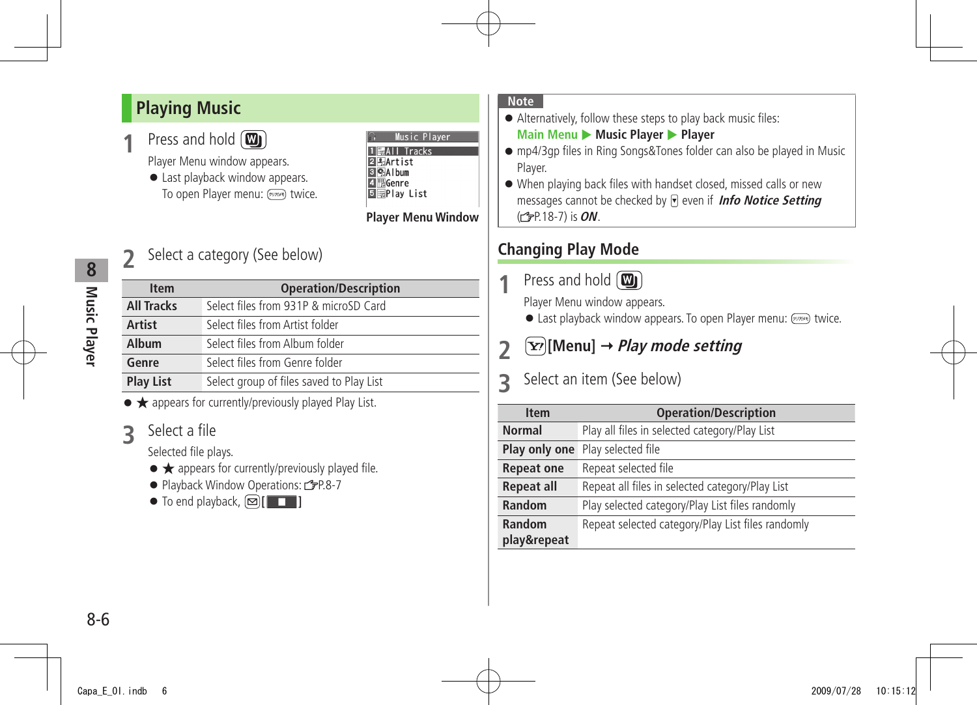## <span id="page-5-0"></span>**Playing Music**

Press and hold (**III**)

Player Menu window appears.

● Last playback window appears. To open Player menu: (DUTANE) twice.

| Music Plaver         |
|----------------------|
| <b>Tracks</b><br>÷AI |
| 图Artist              |
| <b>GAIbum</b>        |
| l∭Genre              |
| <b>Play List</b>     |
|                      |

#### **Player Menu Window**

## **2** Select a category (See below)

| <b>Item</b>       | <b>Operation/Description</b>             |
|-------------------|------------------------------------------|
| <b>All Tracks</b> | Select files from 931P & microSD Card    |
| <b>Artist</b>     | Select files from Artist folder          |
| Album             | Select files from Album folder           |
| Genre             | Select files from Genre folder           |
| <b>Play List</b>  | Select group of files saved to Play List |

● ★ appears for currently/previously played Play List.

**3** Select a file

Selected file plays.

- ★ appears for currently/previously played file.
- Playback Window Operations: C=P.8-7

 $\bullet$  To end playback,  $\text{Q}$ [ $\text{I}$ 

#### **Note**

- Alternatively, follow these steps to play back music files: **Main Menu** Music Player > Player
- mp4/3gp files in Ring Songs&Tones folder can also be played in Music Player.
- When playing back files with handset closed, missed calls or new messages cannot be checked by **a** even if **Info Notice Setting** ( P.18-7) is **ON**.

## **Changing Play Mode**

Press and hold (**m**)

Player Menu window appears.

**.** Last playback window appears. To open Player menu:  $\overline{m}$  twice.

# **2**  $\boxed{\mathbf{Y}}$  [Menu]  $\rightarrow$  *Play mode setting*

## **3** Select an item (See below)

| <b>Item</b>       | <b>Operation/Description</b>                      |
|-------------------|---------------------------------------------------|
| <b>Normal</b>     | Play all files in selected category/Play List     |
| Play only one     | Play selected file                                |
| <b>Repeat one</b> | Repeat selected file                              |
| <b>Repeat all</b> | Repeat all files in selected category/Play List   |
| Random            | Play selected category/Play List files randomly   |
| Random            | Repeat selected category/Play List files randomly |
| play&repeat       |                                                   |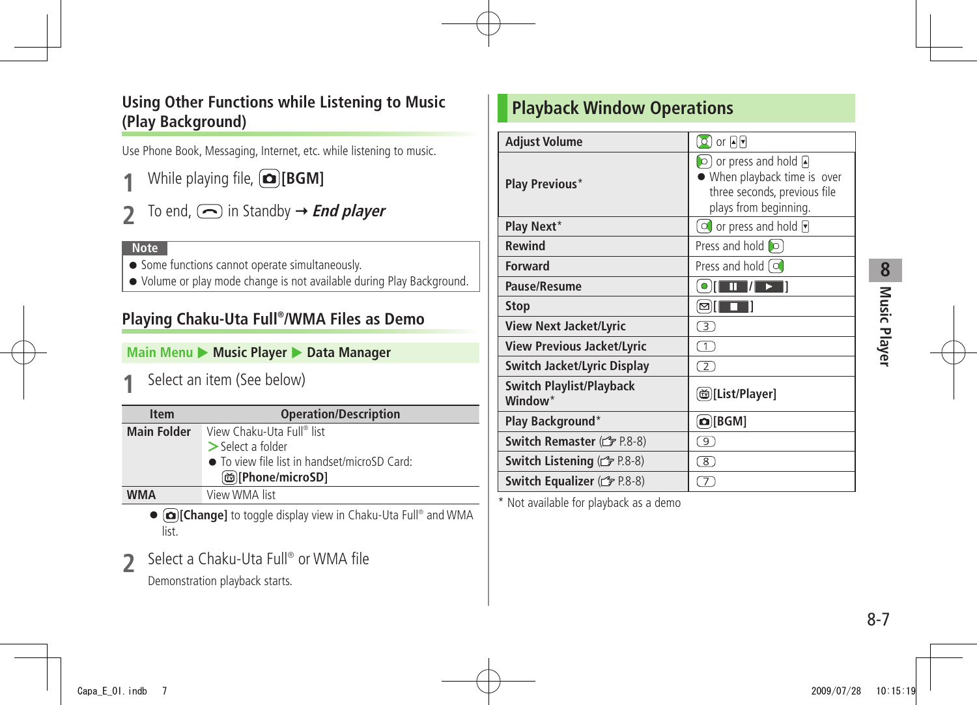## <span id="page-6-0"></span>**Using Other Functions while Listening to Music (Play Background)**

Use Phone Book, Messaging, Internet, etc. while listening to music.

- **1** While playing file, **[BGM]**
- To end,  $\bigcirc$  in Standby  $\rightarrow$  **End player**

#### **Note**

- Some functions cannot operate simultaneously.
- Volume or play mode change is not available during Play Background.

## **Playing Chaku-Uta Full® /WMA Files as Demo**

**Main Menu > Music Player > Data Manager** 

**1** Select an item (See below)

| <b>Item</b>        | <b>Operation/Description</b>                 |
|--------------------|----------------------------------------------|
| <b>Main Folder</b> | View Chaku-Uta Full® list                    |
|                    | $\geq$ Select a folder                       |
|                    | • To view file list in handset/microSD Card: |
|                    | @][Phone/microSD]                            |
| <b>WMA</b>         | View WMA list                                |

● **[o][Change]** to toggle display view in Chaku-Uta Full<sup>®</sup> and WMA list.

**2** Select a Chaku-Uta Full<sup>®</sup> or WMA file

Demonstration playback starts.

## **Playback Window Operations**

| <b>Adjust Volume</b>                                   | $\circ$ ) or मिन                                                                                                         |
|--------------------------------------------------------|--------------------------------------------------------------------------------------------------------------------------|
| Play Previous*                                         | $\Box$ or press and hold $\Box$<br>• When playback time is over<br>three seconds, previous file<br>plays from beginning. |
| Play Next*                                             | $\Box$ or press and hold $\P$                                                                                            |
| <b>Rewind</b>                                          | Press and hold c                                                                                                         |
| <b>Forward</b>                                         | Press and hold $\lceil$ of                                                                                               |
| Pause/Resume                                           | $\bullet$<br>Ш                                                                                                           |
| <b>Stop</b>                                            | ⊠∥                                                                                                                       |
| <b>View Next Jacket/Lyric</b>                          | 3)                                                                                                                       |
| <b>View Previous Jacket/Lyric</b>                      | $\top$                                                                                                                   |
| Switch Jacket/Lyric Display                            | $\mathcal{L}$                                                                                                            |
| <b>Switch Playlist/Playback</b><br>Window <sup>*</sup> | (ම)[List/Player]                                                                                                         |
| Play Background*                                       | $\Omega$ [BGM]                                                                                                           |
| Switch Remaster (C <sub>P</sub> P.8-8)                 | 91                                                                                                                       |
| Switch Listening (F P.8-8)                             | 8)                                                                                                                       |
| Switch Equalizer (C <sub>P</sub> P.8-8)                | $\tau$                                                                                                                   |

\* Not available for playback as a demo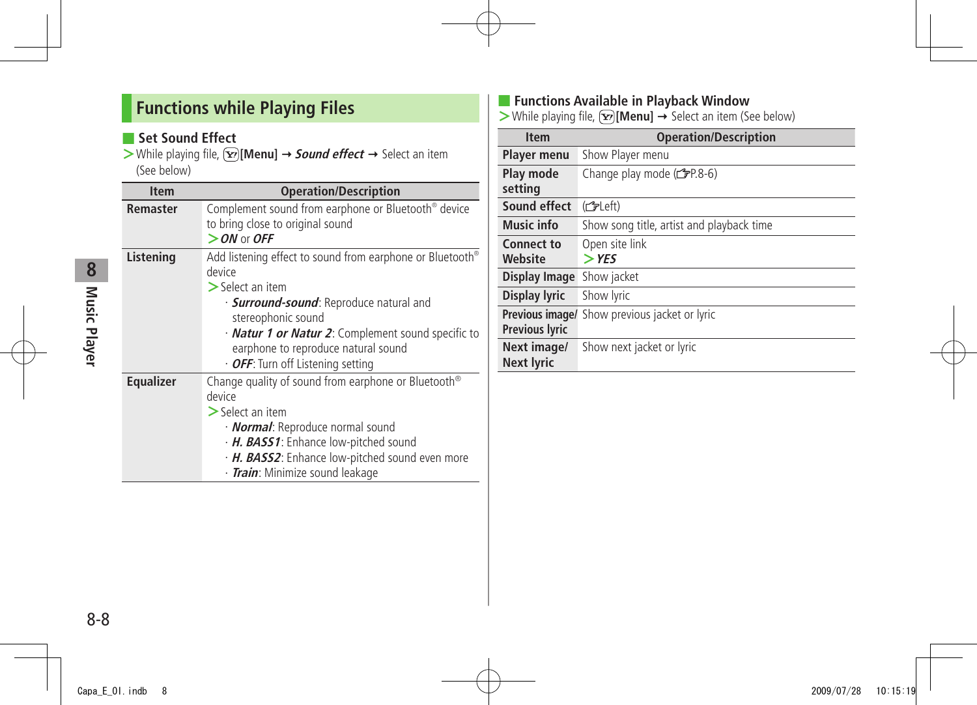## <span id="page-7-0"></span>**Functions while Playing Files**

## ■ Set Sound Effect

 $>$  While playing file,  $\boxed{\mathbf{x}}$  [Menu]  $\rightarrow$  **Sound effect**  $\rightarrow$  Select an item (See below)

| <b>Item</b>      | <b>Operation/Description</b>                                                                                                                                                                                                                                                                                              |
|------------------|---------------------------------------------------------------------------------------------------------------------------------------------------------------------------------------------------------------------------------------------------------------------------------------------------------------------------|
| Remaster         | Complement sound from earphone or Bluetooth <sup>®</sup> device<br>to bring close to original sound<br>$>$ ON or OFF                                                                                                                                                                                                      |
| Listening        | Add listening effect to sound from earphone or Bluetooth®<br>device<br>$\triangleright$ Select an item<br>· <b>Surround-sound</b> : Reproduce natural and<br>stereophonic sound<br>· <b>Natur 1 or Natur 2</b> : Complement sound specific to<br>earphone to reproduce natural sound<br>· OFF: Turn off Listening setting |
| <b>Equalizer</b> | Change quality of sound from earphone or Bluetooth <sup>®</sup><br>device<br>$>$ Select an item<br>· <b>Normal</b> : Reproduce normal sound<br>· H. BASS1: Enhance low-pitched sound<br>· H. BASS2: Enhance low-pitched sound even more<br>· Train: Minimize sound leakage                                                |

## ■ **Functions Available in Playback Window**

 $\triangleright$  While playing file,  $\triangleright$  [**Menu**]  $\rightarrow$  Select an item (See below)

| <b>Item</b>                      | <b>Operation/Description</b>                         |
|----------------------------------|------------------------------------------------------|
| <b>Player menu</b>               | Show Player menu                                     |
| Play mode                        | Change play mode $(\mathcal{F}P.8-6)$                |
| setting                          |                                                      |
| Sound effect                     | (fdpleft)                                            |
| Music info                       | Show song title, artist and playback time            |
| <b>Connect to</b>                | Open site link                                       |
| Website                          | $>$ YFS                                              |
| Display Image                    | Show jacket                                          |
| <b>Display lyric</b>             | Show lyric                                           |
|                                  | <b>Previous image/</b> Show previous jacket or lyric |
| <b>Previous lyric</b>            |                                                      |
| Next image/<br><b>Next lyric</b> | Show next jacket or lyric                            |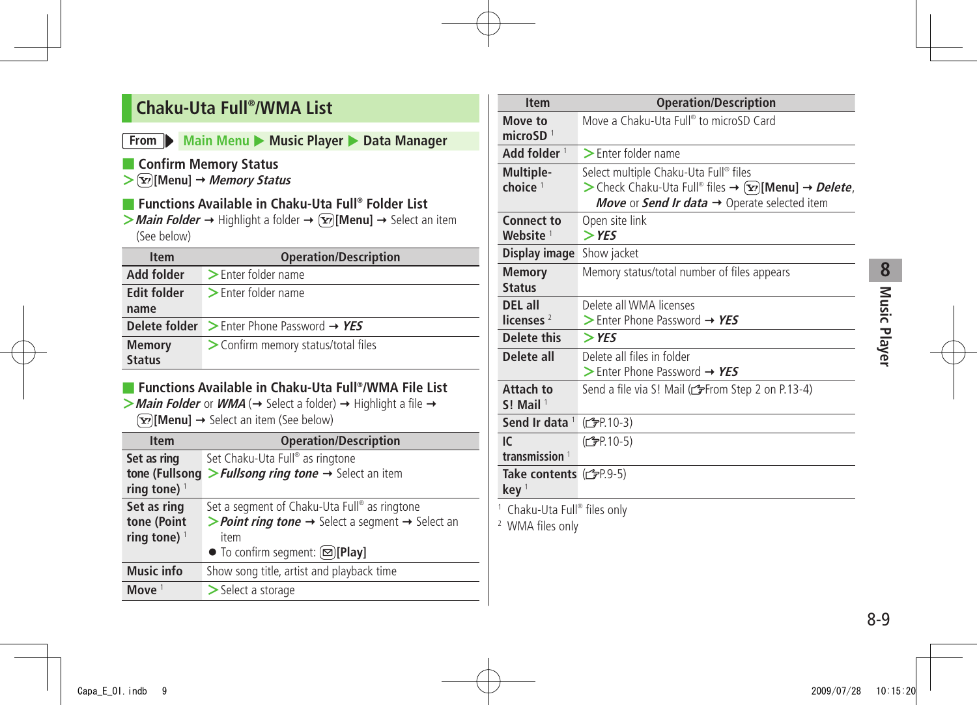## <span id="page-8-0"></span>**Chaku-Uta Full® /WMA List**

#### **From Main Menu > Music Player > Data Manager**

- **Confirm Memory Status**
- **> [Menu] Memory Status**
- **Functions Available in Chaku-Uta Full® Folder List**
- $>$  **Main Folder**  $\rightarrow$  Highlight a folder  $\rightarrow \infty$  [Menu]  $\rightarrow$  Select an item (See below)

| <b>Item</b>        | <b>Operation/Description</b>                                       |
|--------------------|--------------------------------------------------------------------|
| Add folder         | > Enter folder name                                                |
| <b>Edit folder</b> | $\triangleright$ Enter folder name                                 |
| name               |                                                                    |
|                    | <b>Delete folder</b> $\geq$ Enter Phone Password $\rightarrow$ YES |
| <b>Memory</b>      | > Confirm memory status/total files                                |
| <b>Status</b>      |                                                                    |

## ■ **Functions Available in Chaku-Uta Full® /WMA File List**

 $>$  **Main Folder** or **WMA** ( $\rightarrow$  Select a folder)  $\rightarrow$  Highlight a file  $\rightarrow$  $\boxed{\mathbf{Y}}$  [Menu]  $\rightarrow$  Select an item (See below)

| <b>Item</b>                   | <b>Operation/Description</b>                                                                  |
|-------------------------------|-----------------------------------------------------------------------------------------------|
| Set as ring<br>tone (Fullsong | Set Chaku-Uta Full® as ringtone<br>> Fullsong ring tone $\rightarrow$ Select an item          |
| ring tone) $1$                |                                                                                               |
| Set as ring                   | Set a segment of Chaku-Uta Full® as ringtone                                                  |
| tone (Point                   | <b>&gt; Point ring tone <math>\rightarrow</math></b> Select a segment $\rightarrow$ Select an |
| ring tone) $1$                | item                                                                                          |
|                               | $\bullet$ To confirm segment: $\textcircled{=}$ [Play]                                        |
| <b>Music info</b>             | Show song title, artist and playback time                                                     |
| Move $1$                      | $>$ Select a storage                                                                          |

| <b>Item</b>                                                            | <b>Operation/Description</b>                           |
|------------------------------------------------------------------------|--------------------------------------------------------|
| Move to<br>microSD $1$                                                 | Move a Chaku-Uta Full® to microSD Card                 |
| Add folder <sup>1</sup>                                                | $\blacktriangleright$ Enter folder name                |
| Multiple-                                                              | Select multiple Chaku-Uta Full® files                  |
| choice $1$                                                             | > Check Chaku-Uta Full® files → $(x)$ [Menu] → Delete, |
|                                                                        | Move or Send Ir data → Operate selected item           |
| <b>Connect to</b><br>Website <sup>1</sup>                              | Open site link<br>$>$ YES                              |
| Display image                                                          | Show jacket                                            |
| <b>Memory</b><br><b>Status</b>                                         | Memory status/total number of files appears            |
| DEL all                                                                | Delete all WMA licenses                                |
| licenses $2$                                                           | > Enter Phone Password $\rightarrow$ YES               |
| Delete this                                                            | $>$ YES                                                |
| Delete all                                                             | Delete all files in folder                             |
|                                                                        | > Enter Phone Password $\rightarrow$ YES               |
| Attach to<br>$S!$ Mail <sup>1</sup>                                    | Send a file via S! Mail (from Step 2 on P.13-4)        |
| Send Ir data 1                                                         | (C <sub>FP</sub> P.10-3)                               |
| $\mathsf{I} \mathsf{C}$                                                | (C <sub>3</sub> P.10-5)                                |
| transmission <sup>1</sup>                                              |                                                        |
| Take contents $(\mathcal{F}P.9-5)$<br>key <sup>1</sup>                 |                                                        |
| <sup>1</sup> Chaku-Uta Full® files only<br><sup>2</sup> WMA files only |                                                        |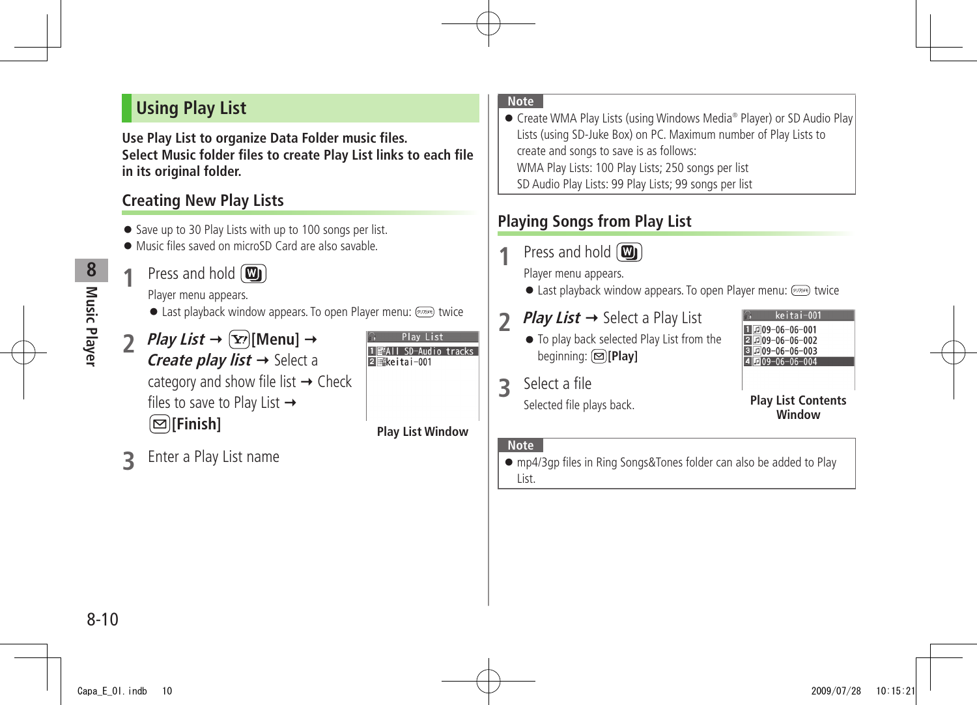## <span id="page-9-0"></span>**Using Play List**

**Use Play List to organize Data Folder music files. Select Music folder files to create Play List links to each file in its original folder.**

## **Creating New Play Lists**

- Save up to 30 Play Lists with up to 100 songs per list.
- Music files saved on microSD Card are also savable.
	- **Press and hold (W)**

Player menu appears.

- $\bullet$  Last playback window appears. To open Player menu:  $(917)$  twice
- *Play List*  $\rightarrow$   $\boxed{\mathbf{Y}}$ *[Menu]*  $\rightarrow$ **Create play list**  $\rightarrow$  **Select a** category and show file list  $\rightarrow$  Check files to save to Play List  $\rightarrow$ **[Finish]**



#### **Note**

● Create WMA Play Lists (using Windows Media® Player) or SD Audio Play Lists (using SD-Juke Box) on PC. Maximum number of Play Lists to create and songs to save is as follows: WMA Play Lists: 100 Play Lists; 250 songs per list SD Audio Play Lists: 99 Play Lists; 99 songs per list

## **Playing Songs from Play List**

**Press and hold (WI)** 

Player menu appears.

- **.** Last playback window appears. To open Player menu: (70784) twice
- **2** *Play List* → Select a Play List
	- To play back selected Play List from the beginning: **[Play]**



**Play List Contents Window**

**3** Select a file

Selected file plays back.

#### **Note**

**Play List Window**

 $\sqrt{2}$  keitai-001

SD-Audio tracks

● mp4/3gp files in Ring Songs&Tones folder can also be added to Play List.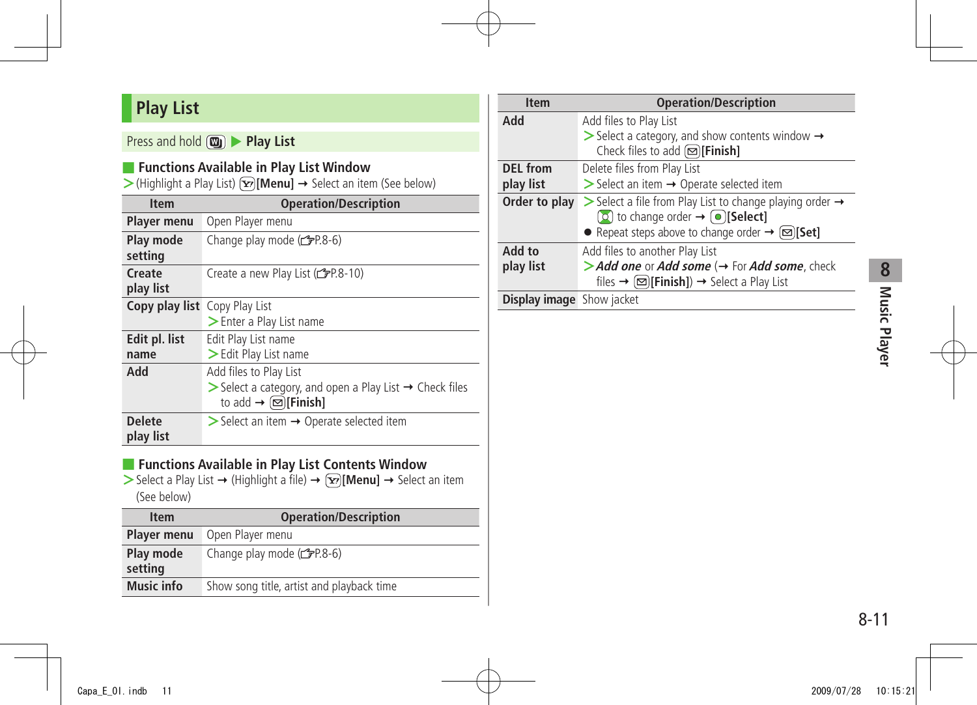# <span id="page-10-0"></span>**Play List**

## Press and hold **3** Play List

#### ■ **Functions Available in Play List Window**

 $\triangleright$  (Highlight a Play List)  $\overline{X}$  [Menu]  $\rightarrow$  Select an item (See below)

| <b>Item</b>                          | <b>Operation/Description</b>                                                                                                                                          |
|--------------------------------------|-----------------------------------------------------------------------------------------------------------------------------------------------------------------------|
| <b>Player menu</b>                   | Open Player menu                                                                                                                                                      |
| Play mode<br>setting                 | Change play mode (子P.8-6)                                                                                                                                             |
| Create<br>play list                  | Create a new Play List (CPP.8-10)                                                                                                                                     |
| <b>Copy play list</b> Copy Play List | > Enter a Play List name                                                                                                                                              |
| Edit pl. list<br>name                | Edit Play List name<br>> Edit Play List name                                                                                                                          |
| Add                                  | Add files to Play List<br>$\triangleright$ Select a category, and open a Play List $\rightarrow$ Check files<br>to add $\rightarrow \text{[}\square\text{]}$ [Finish] |
| <b>Delete</b><br>play list           | $\triangleright$ Select an item $\rightarrow$ Operate selected item                                                                                                   |

### ■ **Functions Available in Play List Contents Window**

 $>$  Select a Play List  $\rightarrow$  (Highlight a file)  $\rightarrow$   $\infty$  [Menu]  $\rightarrow$  Select an item (See below)

| <b>Item</b>          | <b>Operation/Description</b>              |
|----------------------|-------------------------------------------|
| <b>Player menu</b>   | Open Player menu                          |
| Play mode<br>setting | Change play mode $(\mathcal{F}P.8-6)$     |
| <b>Music info</b>    | Show song title, artist and playback time |

| <b>Item</b>                      | <b>Operation/Description</b>                                                                                                                                              |
|----------------------------------|---------------------------------------------------------------------------------------------------------------------------------------------------------------------------|
| Add                              | Add files to Play List                                                                                                                                                    |
|                                  | $\triangleright$ Select a category, and show contents window $\rightarrow$<br>Check files to add $\textcircled{=}$ [Finish]                                               |
|                                  |                                                                                                                                                                           |
| <b>DEL</b> from                  | Delete files from Play List                                                                                                                                               |
| play list                        | $\triangleright$ Select an item $\rightarrow$ Operate selected item                                                                                                       |
| Order to play                    | $\triangleright$ Select a file from Play List to change playing order $\rightarrow$<br>$\left[ \circ \right]$ to change order $\rightarrow \left[ \circ \right]$ [Select] |
|                                  | • Repeat steps above to change order $\rightarrow \Box$ [Set]                                                                                                             |
| Add to                           | Add files to another Play List                                                                                                                                            |
| play list                        | > Add one or Add some $(\rightarrow$ For Add some, check                                                                                                                  |
|                                  | files $\rightarrow \Box$ [Finish]) $\rightarrow$ Select a Play List                                                                                                       |
| <b>Display image</b> Show jacket |                                                                                                                                                                           |